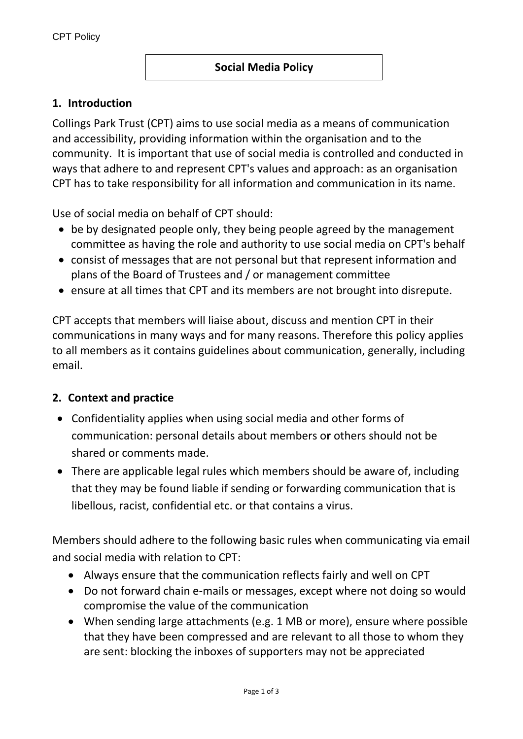### **Social Media Policy**

### **1. Introduction**

Collings Park Trust (CPT) aims to use social media as a means of communication and accessibility, providing information within the organisation and to the community. It is important that use of social media is controlled and conducted in ways that adhere to and represent CPT's values and approach: as an organisation CPT has to take responsibility for all information and communication in its name.

Use of social media on behalf of CPT should:

- be by designated people only, they being people agreed by the management committee as having the role and authority to use social media on CPT's behalf
- consist of messages that are not personal but that represent information and plans of the Board of Trustees and / or management committee
- ensure at all times that CPT and its members are not brought into disrepute.

CPT accepts that members will liaise about, discuss and mention CPT in their communications in many ways and for many reasons. Therefore this policy applies to all members as it contains guidelines about communication, generally, including email.

#### **2. Context and practice**

- Confidentiality applies when using social media and other forms of communication: personal details about members o**r** others should not be shared or comments made.
- There are applicable legal rules which members should be aware of, including that they may be found liable if sending or forwarding communication that is libellous, racist, confidential etc. or that contains a virus.

Members should adhere to the following basic rules when communicating via email and social media with relation to CPT:

- Always ensure that the communication reflects fairly and well on CPT
- Do not forward chain e-mails or messages, except where not doing so would compromise the value of the communication
- When sending large attachments (e.g. 1 MB or more), ensure where possible that they have been compressed and are relevant to all those to whom they are sent: blocking the inboxes of supporters may not be appreciated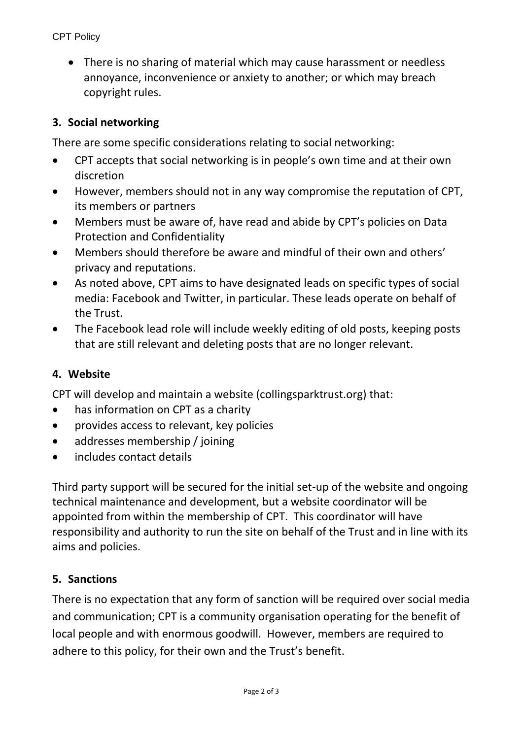There is no sharing of material which may cause harassment or needless annoyance, inconvenience or anxiety to another; or which may breach copyright rules.

## **3. Social networking**

There are some specific considerations relating to social networking:

- CPT accepts that social networking is in people's own time and at their own discretion
- However, members should not in any way compromise the reputation of CPT, its members or partners
- Members must be aware of, have read and abide by CPT's policies on Data Protection and Confidentiality
- Members should therefore be aware and mindful of their own and others' privacy and reputations.
- As noted above, CPT aims to have designated leads on specific types of social media: Facebook and Twitter, in particular. These leads operate on behalf of the Trust.
- The Facebook lead role will include weekly editing of old posts, keeping posts that are still relevant and deleting posts that are no longer relevant.

## **4. Website**

CPT will develop and maintain a website (collingsparktrust.org) that:

- has information on CPT as a charity
- provides access to relevant, key policies
- addresses membership / joining
- includes contact details

Third party support will be secured for the initial set-up of the website and ongoing technical maintenance and development, but a website coordinator will be appointed from within the membership of CPT. This coordinator will have responsibility and authority to run the site on behalf of the Trust and in line with its aims and policies.

## **5. Sanctions**

There is no expectation that any form of sanction will be required over social media and communication; CPT is a community organisation operating for the benefit of local people and with enormous goodwill. However, members are required to adhere to this policy, for their own and the Trust's benefit.